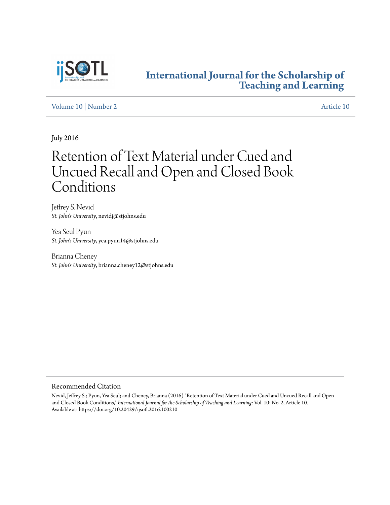

### **[International Journal for the Scholarship of](http://digitalcommons.georgiasouthern.edu/ij-sotl?utm_source=digitalcommons.georgiasouthern.edu%2Fij-sotl%2Fvol10%2Fiss2%2F10&utm_medium=PDF&utm_campaign=PDFCoverPages) [Teaching and Learning](http://digitalcommons.georgiasouthern.edu/ij-sotl?utm_source=digitalcommons.georgiasouthern.edu%2Fij-sotl%2Fvol10%2Fiss2%2F10&utm_medium=PDF&utm_campaign=PDFCoverPages)**

#### [Volume 10](http://digitalcommons.georgiasouthern.edu/ij-sotl/vol10?utm_source=digitalcommons.georgiasouthern.edu%2Fij-sotl%2Fvol10%2Fiss2%2F10&utm_medium=PDF&utm_campaign=PDFCoverPages) | [Number 2](http://digitalcommons.georgiasouthern.edu/ij-sotl/vol10/iss2?utm_source=digitalcommons.georgiasouthern.edu%2Fij-sotl%2Fvol10%2Fiss2%2F10&utm_medium=PDF&utm_campaign=PDFCoverPages) [Article 10](http://digitalcommons.georgiasouthern.edu/ij-sotl/vol10/iss2/10?utm_source=digitalcommons.georgiasouthern.edu%2Fij-sotl%2Fvol10%2Fiss2%2F10&utm_medium=PDF&utm_campaign=PDFCoverPages)

July 2016

# Retention of Text Material under Cued and Uncued Recall and Open and Closed Book Conditions

Jeffrey S. Nevid *St. John's University*, nevidj@stjohns.edu

Yea Seul Pyun *St. John's University*, yea.pyun14@stjohns.edu

Brianna Cheney *St. John's University*, brianna.cheney12@stjohns.edu

#### Recommended Citation

Nevid, Jeffrey S.; Pyun, Yea Seul; and Cheney, Brianna (2016) "Retention of Text Material under Cued and Uncued Recall and Open and Closed Book Conditions," *International Journal for the Scholarship of Teaching and Learning*: Vol. 10: No. 2, Article 10. Available at: https://doi.org/10.20429/ijsotl.2016.100210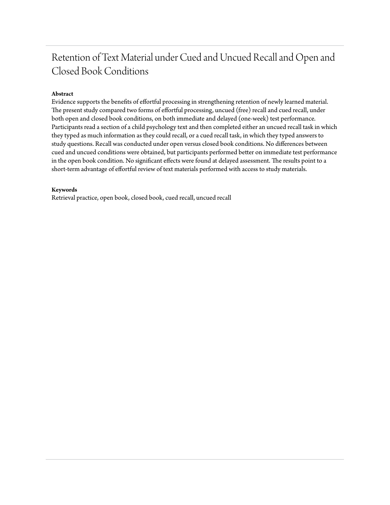## Retention of Text Material under Cued and Uncued Recall and Open and Closed Book Conditions

#### **Abstract**

Evidence supports the benefits of effortful processing in strengthening retention of newly learned material. The present study compared two forms of effortful processing, uncued (free) recall and cued recall, under both open and closed book conditions, on both immediate and delayed (one-week) test performance. Participants read a section of a child psychology text and then completed either an uncued recall task in which they typed as much information as they could recall, or a cued recall task, in which they typed answers to study questions. Recall was conducted under open versus closed book conditions. No differences between cued and uncued conditions were obtained, but participants performed better on immediate test performance in the open book condition. No significant effects were found at delayed assessment. The results point to a short-term advantage of effortful review of text materials performed with access to study materials.

#### **Keywords**

Retrieval practice, open book, closed book, cued recall, uncued recall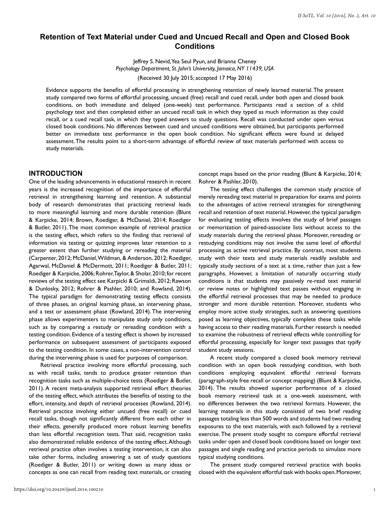#### **Retention of Text Material under Cued and Uncued Recall and Open and Closed Book Conditions**

Jeffrey S. Nevid, Yea Seul Pyun, and Brianna Cheney *Psychology Department, St. John's University, Jamaica, NY 11439, USA*

(Received 30 July 2015; accepted 17 May 2016)

Evidence supports the benefits of effortful processing in strengthening retention of newly learned material. The present study compared two forms of effortful processing, uncued (free) recall and cued recall, under both open and closed book conditions, on both immediate and delayed (one-week) test performance. Participants read a section of a child psychology text and then completed either an uncued recall task in which they typed as much information as they could recall, or a cued recall task, in which they typed answers to study questions. Recall was conducted under open versus closed book conditions. No differences between cued and uncued conditions were obtained, but participants performed better on immediate test performance in the open book condition. No significant effects were found at delayed assessment. The results point to a short-term advantage of effortful review of text materials performed with access to study materials.

#### **INTRODUCTION**

One of the leading advancements in educational research in recent years is the increased recognition of the importance of effortful retrieval in strengthening learning and retention. A substantial body of research demonstrates that practicing retrieval leads to more meaningful learning and more durable retention (Blunt & Karpicke, 2014; Brown, Roediger, & McDaniel, 2014; Roediger & Butler, 2011). The most common example of retrieval practice is the testing effect, which refers to the finding that retrieval of information via testing or quizzing improves later retention to a greater extent than further studying or rereading the material (Carpenter, 2012; McDaniel, Wildman, & Anderson, 2012; Roediger, Agarwal, McDaniel & McDermott, 2011; Roediger & Butler, 2011; Roediger & Karpicke, 2006; Rohrer, Taylor, & Sholar, 2010; for recent reviews of the testing effect see Karpicki & Grimaldi, 2012; Rawson & Dunlosky, 2012; Rohrer & Pashler, 2010; and Rowland, 2014). The typical paradigm for demonstrating testing effects consists of three phases, an original learning phase, an intervening phase, and a test or assessment phase (Rowland, 2014). The intervening phase allows experimenters to manipulate study only conditions, such as by comparing a restudy or rereading condition with a testing condition. Evidence of a testing effect is shown by increased performance on subsequent assessment of participants exposed to the testing condition. In some cases, a non-intervention control during the intervening phase is used for purposes of comparison.

Retrieval practice involving more effortful processing, such as with recall tasks, tends to produce greater retention than recognition tasks such as multiple-choice tests (Roediger & Butler, 2011). A recent meta-analysis supported retrieval effort theories of the testing effect, which attributes the benefits of testing to the effort, intensity, and depth of retrieval processes (Rowland, 2014). Retrieval practice involving either uncued (free recall) or cued recall tasks, though not significantly different from each other in their effects, generally produced more robust learning benefits than less effortful recognition tests. That said, recognition tasks also demonstrated reliable evidence of the testing effect. Although retrieval practice often involves a testing intervention, it can also take other forms, including answering a set of study questions (Roediger & Butler, 2011) or writing down as many ideas or concepts as one can recall from reading text materials, or creating

concept maps based on the prior reading (Blunt & Karpicke, 2014; Rohrer & Pashler, 2010).

The testing effect challenges the common study practice of merely rereading text material in preparation for exams and points to the advantages of active retrieval strategies for strengthening recall and retention of text material. However, the typical paradigm for evaluating testing effects involves the study of brief passages or memorization of paired-associate lists without access to the study materials during the retrieval phase. Moreover, rereading or restudying conditions may not involve the same level of effortful processing as active retrieval practice. By contrast, most students study with their texts and study materials readily available and typically study sections of a text at a time, rather than just a few paragraphs. However, a limitation of naturally occurring study conditions is that students may passively re-read text material or review notes or highlighted text passes without engaging in the effortful retrieval processes that may be needed to produce stronger and more durable retention. Moreover, students who employ more active study strategies, such as answering questions posed as learning objectives, typically complete these tasks while having access to their reading materials. Further research is needed to examine the robustness of retrieval effects while controlling for effortful processing, especially for longer text passages that typify student study sessions.

A recent study compared a closed book memory retrieval condition with an open book restudying condition, with both conditions employing equivalent effortful retrieval formats (paragraph-style free recall or concept mapping) (Blunt & Karpicke, 2014). The results showed superior performance of a closed book memory retrieval task at a one-week assessment, with no differences between the two retrieval formats. However, the learning materials in this study consisted of two brief reading passages totaling less than 500 words and students had two reading exposures to the text materials, with each followed by a retrieval exercise. The present study sought to compare effortful retrieval tasks under open and closed book conditions based on longer text passages and single reading and practice periods to simulate more typical studying conditions.

The present study compared retrieval practice with books closed with the equivalent effortful task with books open. Moreover,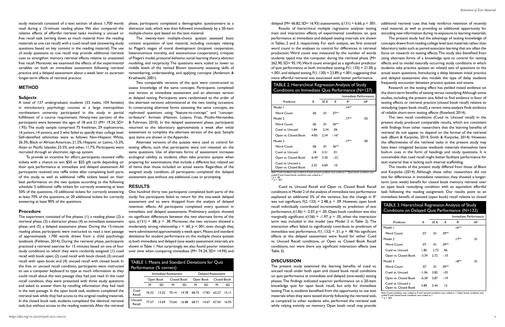study materials consisted of a text section of about 1,700 words read during a 15-minute reading phase. We also compared the relative effects of effortful retrieval tasks involving a uncued or free recall task (writing down as much material from the reading materials as one can recall) with a cued recall task (answering study questions based on key content in the reading material). The use of study questions to cue recall may provide additional retrieval cues to strengthen memory retrieval effects relative to unassisted free recall. Moreover, we examined the effects of the experimental variables on both an immediate assessment following retrieval practice and a delayed assessment about a week later to ascertain longer-term effects of retrieval practice.

#### **METHOD**

#### **Subjects**

A total of 137 undergraduate students (33 males, 104 females) in introductory psychology courses at a large metropolitan northeastern university participated in the study in partial fulfillment of a course requirement. Ninety-two percent of the participants were between the ages of 18 and 21 (M= 19.24, SD= 1.95). The study sample comprised 75 freshman, 29 sophomores, 16 juniors, 14 seniors, and 3 who failed to specify their college level. Self-identified ethnicities were as follows: Non-Hispanic White, 26.3%; Black or African American, 21.2%; Hispanic or Latino, 15.3%, recruited through an electronic sign-up system.

To provide an incentive for effort, participants received raffle tickets with a chance to win \$50 or \$25 gift cards depending on their quiz performance at immediate and delayed assessment. All participants received one raffle ticket after completing both parts of the study, as well as additional raffle tickets based on their best performance on the two quizzes according to the following schedule: 5 additional raffle tickets for correctly answering at least 50% of the questions, 10 additional tickets for correctly answering at least 70% of the questions, or 20 additional tickets for correctly answering at least 90% of the questions.

#### **Procedure**

The experiment consisted of five phases: (1) a reading phase; (2) a retrieval phase; (3) a distractor phase; (4) an immediate assessment phase, and (5) a delayed assessment phase. During the 15-minute reading phase, participants were instructed to read a text passage of approximately 1,700 words drawn from a child psychology textbook (Feldman, 2014). During the retrieval phase, participants practiced a retrieval exercise for 15 minutes based on one of four study conditions to which they were randomly assigned: (1) cued recall with book open; (2) cued recall with book closed; (3) uncued recall with open book; and (4) uncued recall with closed book. In the free or uncued recall condition, participants were instructed to use a computer keyboard to type as much information as they could recall about the text passage they had just read. In the cued recall condition, they were presented with three study questions and asked to answer them by recalling information they had read in the text passage. In the open book task, students completed the retrieval task while they had access to the original reading materials. In the closed book task, students completed the identical retrieval task, but without access to the reading materials. After the retrieval

Asian or Pacific Islander, 25.5%, and other, 11.7%. Participants were testing effects, such that participants were not retested on the Alternate versions of the quizzes were used to control for same questions. Use of alternate forms of assessment increases ecological validity, as students often take practice quizzes when preparing for examinations that include a different but related set of items than those included on actual exams. Regardless of the assigned study condition, all participants completed the delayed assessment quiz without any additional cues or prompting.

phase, participants completed a demographic questionnaire as a distractor task, which was then followed immediately by a 20-item multiple-choice quiz based on the text material.

The twenty-item multiple-choice quizzes assessed basic content acquisition of text material, including concepts relating to Piaget's stages of moral development (incipient cooperation, heteronomous morality, and autonomous cooperation), critiques of Piaget's model, prosocial behavior, social learning theory, abstract modeling, and reciprocity. The questions were scaled to lower to middle levels of the revised Bloom taxonomy assessing skills of remembering, understanding, and applying concepts (Anderson & Krathwohl, 2001).

> The present study examined the learning benefits of cued vs. uncued recall under both open and closed book recall conditions on quiz performance at immediate and delayed (one-week) testing phases. The findings indicated superior performance on a 20-item knowledge quiz for open book recall, but only for immediate testing. That is, students benefited from the opportunity to use text materials when they were tested shortly following the retrieval task, as compared to other students who performed the retrieval task while relying entirely on memory. Open book recall may provide Word Count .07 .01 .39\*\* Cued vs. Uncued -1.06 3.82 -.03 Open vs. Closed Book -6.38 3.87 -.19 Cued vs. Uncued x Open vs. Closed Book 5.89 5.44 .15 *Note*: Cued condition was coded as 0 and uncued condition was coded as 1. Open book condition was coded 0 and closed book condition was coded as 1.  $h < 001$

Two comparable versions of the quiz were constructed to assess knowledge of the same concepts. Participants completed one version at immediate assessment and an alternate version at delayed testing. Participants were randomized to the order of the alternate versions administered at the two testing occasions. In constructing alternate forms assessing the same concepts, we rephrased questions using "feature-to-concept" and "conceptto-feature" formats (Hannon, Lozano, Frias, Picallo-Hernandez, & Fuhrman, 2010). In the delayed assessment phase, participants returned to the laboratory approximately a week after initial assessment to complete the alternate version of the quiz. Sample quiz items are shown in the Appendix.

#### **RESULTS**

One hundred thirty two participants completed both parts of the study; five participants failed to return for the one-week delayed assessment and so were dropped from the analysis of delayed retention effects. All participants completed every question in immediate and delayed assessments. Preliminary analysis showed no significant differences between the two alternate forms of the quiz,  $t(131) = .88$ ,  $p = .38$ . Moreover, the two versions showed a moderately strong relationship,  $r = .60$ ,  $p < .001$ , even though they were administered approximately a week apart. Means and standard deviations for student performance on the multiple choice quizzes at both immediate and delayed (one week) assessment intervals are shown in Table 1. Not surprisingly, we also found poorer retention over time when comparing immediate (M= 74.24, SD= 14.94) and

Results of hierarchical multiple regression analyses testing main and interaction effects of experimental conditions on quiz performance at immediate and delayed testing intervals are shown in Tables 2 and 3, respectively. For each analysis, we first entered word count in the analyses to control for differences in retrieval production. Word count was measured by the number of words students typed into the computer during the retrieval phase (M= 262.90, SD= 95.19). Word count emerged as a significant predictor of quiz performance at both immediate testing, F(1, 135) = 21.00, p  $< 0.001$ , and delayed testing,  $F(1, 130) = 23.89$ , p $< 0.01$ , suggesting that more effortful retrieval was associated with better performance.

*Note*: Cued condition was coded as 0 and uncued condition was coded as 1. Open book condition was coded 0 and closed book condition was coded as 1. \* *p* < .05 \*\* *p* < .001

Cued vs. Uncued Recall and Open vs. Closed Book Recall conditions in Model 2 of the analysis of immediate test performance explained an additional 3% of the variance, but the change in *R2* was not significant, *F*(2, 133) = 2.48, *p* = .09. However, open book recall individually contributed incrementally to prediction of test performance,  $t(136) = -2.07$ ,  $p < .05$ . Open book condition was also marginally significant,  $t(136) = -1.97$ ,  $p = .05$ , when the interaction term was included in the model (see Model 3 in Table 2). The interaction effect failed to significantly contribute to prediction of immediate test performance,  $F(1, 132) = .51$ ,  $p = .48$ . No significant effects at the delayed assessment were found for either Cued vs. Uncued Recall conditions, or Open vs. Closed Book Recall conditions, nor were there any significant interaction effects (see Table 3).

#### **DISCUSSION**

additional retrieval cues that help reinforce retention of recently read material, as well as providing an additional opportunity for encoding new information during re-exposure to learning materials.

The present study had the advantage of testing knowledge of concepts drawn from reading college level text materials rather than laboratory tasks such as paired-associate learning that are often the focus on research on testing effects. The study also benefited from using alternate forms of a knowledge quiz to control for testing effects and to model naturally occurring study conditions in which students take practice quizzes on related sets of questions to the actual exam questions. Introducing a delay between initial practice and delayed assessment also models the type of delay students frequently encounter between practice quizzes and exams.

Research on the testing effect has yielded mixed evidence on the short-term benefits of testing versus restudying. Although some studies, including the present one, failed to find evidence in favor of testing effects or retrieval practice (closed book recall) relative to restudying (open book recall), a recent meta-analysis finds evidence of reliable short-term testing effects (Rowland, 2014).

The two recall conditions (Cued vs. Uncued recall) in the present study produced comparable results, which are consistent with findings from other researchers that the learning benefits of retrieval do not appear to depend on the format of the retrieval task (Blunt & Karpicke, 2014; Smith & Karpicke, 2014). However, the effectiveness of the retrieval tasks in the present study may have been mitigated because textbook materials themselves have built-in cues in the form of headings and study questions. It is conceivable that cued recall might better facilitate performance for text material that is lacking such internal scaffolding.

The results of the present study differed from those of Blunt and Karpicke (2014). Although these other researchers did not test for differences in immediate retention, they showed a longerterm (one week) benefit for closed book memory retrieval over an open book restudying condition with an equivalent effortful task following the reading assignment. Our results point to an immediate benefit of assisted (open book) recall relative to closed

| TABLE 1. Means and Standard Deviations for Quiz |  |
|-------------------------------------------------|--|
| Performance (% correct)                         |  |

|                  | Immediate Assessment |       |             |       | Delayed Assessment |       |             |       |
|------------------|----------------------|-------|-------------|-------|--------------------|-------|-------------|-------|
|                  | Open Book            |       | Closed Book |       | Open Book          |       | Closed Book |       |
|                  | м                    | SD    | м           | SD    | м                  | SD    | м           | SD    |
| Cued<br>Recall   | 76.32                | 13.22 | 70.14       | 14.78 | 68.75              | 17.83 | 62.27       | 15.11 |
| Uncued<br>Recall | 77.57                | 13.69 | 73.64       | 16.88 | 68.71              | 14.67 | 67.50       | 16.93 |

delayed (M= 66.82, SD= 16.93) assessments,  $t(131) = 6.66$ ,  $p < .001$ .

#### TABLE 2. Hierarchical Regression Analysis of Study Conditions on Immediate Quiz Performance (N=137)

|                                           |         |      |         |                | Immediate Performance    |
|-------------------------------------------|---------|------|---------|----------------|--------------------------|
| Predictor                                 | В       | SE B | R.      | R <sup>2</sup> | $\Lambda$ R <sup>2</sup> |
| Model I                                   |         |      |         | $.14**$        |                          |
| <b>Word Count</b>                         | .06     | .01  | $.37**$ |                |                          |
| Model 2                                   |         |      |         | $.17**$        | .03                      |
| <b>Word Count</b>                         | .06     | .01  | .36**   |                |                          |
| Cued vs. Uncued                           | 1.84    | 2.34 | .06     |                |                          |
| Open vs. Closed Book                      | -4.83   | 2.34 | $-16*$  |                |                          |
| Model 3                                   |         |      |         | $.17**$        | .00                      |
| Word Count                                | .06     | 0١.  | .36**   |                |                          |
| Cued vs. Uncued                           | .18     | 3.31 | .01     |                |                          |
| Open vs. Closed Book                      | $-6.49$ | 3.30 | $-22$   |                |                          |
| Cued vs. Uncued x<br>Open vs. Closed Book | 3.35    | 4.69 | .10     |                |                          |

TABLE 3. Hierarchical Regression Analysis of Study

| Conditions on Delayed Quiz Performance (N=132) |       |      |         |                |                         |
|------------------------------------------------|-------|------|---------|----------------|-------------------------|
|                                                |       |      |         |                | Immediate Performance   |
| Predictor                                      | В     | SE B | R       | R <sup>2</sup> | $\Delta$ R <sup>2</sup> |
| Model I                                        |       |      |         | $.16**$        |                         |
| <b>Word Count</b>                              | .07   | .01  | .39**   |                |                         |
| Model 2                                        |       |      |         | $.17**$        | .01                     |
| <b>Word Count</b>                              | .07   | .01  | .39**   |                |                         |
| Cued vs. Uncued                                | 1.85  | 2.73 | .06     |                |                         |
| Open vs. Closed Book                           | -3.39 | 2.72 | $-10$   |                |                         |
| Model 3                                        |       |      |         | .18**          | .01                     |
| <b>Word Count</b>                              | .07   | .01  | .39**   |                |                         |
| Cued vs. Uncued                                | -1.06 | 3.82 | $-0.03$ |                |                         |
| Open vs. Closed Book                           | -6.38 | 3.87 | -. 19   |                |                         |
| Cued vs. Uncued x<br>Open vs. Closed Book      | 5.89  | 5.44 | . 15    |                |                         |

2

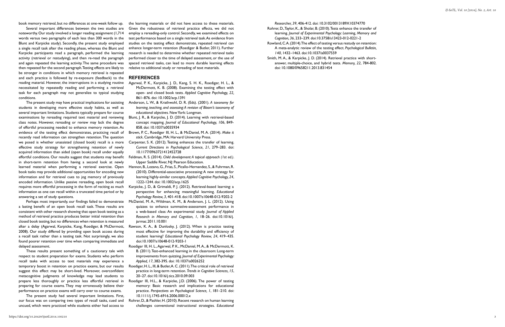book memory retrieval, but no differences at one-week follow up.

Several important differences between the two studies are noteworthy. Our study involved a longer reading assignment (1,714 words versus two paragraphs of each less than 300 words in the Blunt and Karpicke study). Secondly, the present study employed a single recall task after the reading phase, whereas the Blunt and Karpicke participants read a paragraph, performed the learning activity (retrieval or restudying), and then re-read the paragraph and again repeated the learning activity. The same procedure was then repeated for the second paragraph. Testing effects are likely to be stronger in conditions in which memory retrieval is repeated and each practice is followed by re-exposure (feedback) to the reading material. However, the interruptions in a studying routine necessitated by repeatedly reading and performing a retrieval task for each paragraph may not generalize to typical studying conditions.

The present study may have practical implications for assisting students in developing more effective study habits, as well as several important limitations. Students typically prepare for course examinations by rereading required text material and reviewing class notes. However, rereading or review may lack the degree of effortful processing needed to enhance memory retention. As evidence of the testing effect demonstrates, practicing recall of recently read information can strengthen retention. The question we posed is whether unassisted (closed book) recall is a more effective study strategy for strengthening retention of newly acquired information than aided (open book) recall under equally effortful conditions. Our results suggest that students may benefit in short-term retention from having a second look at newly learned material when performing a retrieval exercise. Open book tasks may provide additional opportunities for encoding new information and for retrieval cues to jog memory of previously encoded information. Unlike passive rereading, open book recall requires more effortful processing in the form of reciting as much information as one can recall within a truncated time period or by answering a set of study questions.

Perhaps most importantly, our findings failed to demonstrate a lasting benefit of an open book recall task. These results are consistent with other research showing that open book testing as a method of retrieval practice produces better initial retention than closed book testing, but no differences when retention is measured after a delay (Agarwal, Karpicke, Kang, Roediger, & McDermott, 2008). Our study differed by providing open book access during a recall task rather than a testing task. Not surprisingly, we also found poorer retention over time when comparing immediate and delayed assessment.

These results present something of a cautionary tale with respect to student preparation for exams. Students who perform recall tasks with access to text materials may experience a temporary boost in retention on practice exams, but our results suggest this effect may be short-lived. Moreover, overconfident metacognitive judgments of knowledge may lead students to prepare less thoroughly or practice less effortful retrieval in preparing for course exams. They may erroneously believe their performance on practice exams will carry over to course exams.

The present study had several important limitations. First, our focus was on comparing two types of recall tasks, cued and uncued, which were practiced while students either had access to

the learning materials or did not have access to these materials. Given the robustness of retrieval practice effects, we did not employ a rereading-only control. Secondly, we examined effects on test performance based on a single retrieval task. As evidence from studies on the testing effect demonstrate, repeated retrieval can enhance longer-term retention (Roediger & Butler, 2011). Further research is needed to determine whether repeated retrieval tasks performed closer to the time of delayed assessment, or the use of spaced retrieval tasks, can lead to more durable learning effects relative to additional study or rereading of text materials.

#### **REFERENCES**

- Agarwal, P. K., Karpicke, J. D., Kang, S. H. K., Roediger, H. L., & McDermott, K. B. (2008). Examining the testing effect with open- and closed book tests. *Applied Cognitive Psychology, 22,*  861–876. doi: 10.1002/acp.1391
- Anderson, L. W., & Krathwohl, D. R. (Eds). (2001). *A taxonomy for learning, teaching, and assessing: A revision of Bloom's taxonomy of educational objectives*. New York: Longman.
- Blunt, J. R., & Karpicke, J. D. (2014). Learning with retrieval-based concept mapping. *Journal of Educational Psychology, 106*, 849- 858. doi: 10.1037/a0035934
- Brown, P. C., Roediger III, H. L., & McDaniel, M. A. (2014). *Make it stick*. Cambridge, MA: Harvard University Press.
- Carpenter, S. K. (2012). Testing enhances the transfer of learning. *Current Directions in Psychological Science, 21*, 279–283. doi: 10.1177/0963721412452728
- Feldman, R. S. (2014). *Child development: A topical approach (1st ed.)*. Upper Saddle River, NJ: Pearson Education.
- Hannon, B., Lozano, G., Frias, S., Picallo-Hernandez, S., & Fuhrman, R. (2010). Differential-associative processing: A new strategy for learning highly-similar concepts. *Applied Cognitive Psychology, 24*, 1222-1244. doi: 10.1002/acp.1625
- Karpicke, J. D., & Grimaldi, P. J. (2012). Retrieval-based learning: a perspective for enhancing meaningful learning. *Educational Psychology Review, 3*, 401-418. doi:10.1007/s10648-012-9202-2
- McDaniel, M. A., Wildman, K. M., & Anderson, J. L. (2012). Using quizzes to enhance summative-assessment performance in a web-based class: An experimental study. *Journal of Applied Research in Memory and Cognition, 1*, 18–26. doi:10.1016/j. jarmac.2011.10.001
- Rawson, K. A., & Dunlosky, J. (2012). When is practice testing most effective for improving the durability and efficiency of student learning? *Educational Psychology Review, 24*, 419–435. doi:10.1007/s10648-012-9203-1
- Roediger III, H. L., Agarwal, P. K., McDaniel, M. A., & McDermott, K. B. (2011). Test-enhanced learning in the classroom: Long-term improvements from quizzing. *Journal of Experimental Psychology: Applied, 17*, 382-395. doi: 10.1037/a0026252
- Roediger, H. L., III, & Butler, A. C. (2011). The critical role of retrieval practice in long-term retention. *Trends in Cognitive Sciences, 15*, 20–27. doi:10.1016/j.tics.2010.09.003
- Roediger III, H.L., & Karpicke, J.D. (2006). The power of testing memory: Basic research and implications for educational practice. *Perspectives on Psychological Science, 1*, 181–210. doi: 10.1111/j.1745-6916.2006.00012.x
- Rohrer, D., & Pashler, H. (2010). Recent research on human learning challenges conventional instructional strategies. *Educational*
- *Researcher, 39*, 406-412. doi: 10.3102/0013189X10374770 Rohrer, D., Taylor, K., & Sholar, B. (2010). Tests enhance the transfer of learning. *Journal of Experimental Psychology: Learning, Memory and*
- *Cognition, 36*, 233–239. doi:10.3758/s13423-012-0221-2
- Rowland, C.A. (2014). The effect of testing versus restudy on retention: A meta-analytic review of the testing effect. *Psychological Bulletin, 140*, 1432–1463. doi:10.1037/a0037559
- Smith, M. A., & Karpicke, J. D. (2014). Retrieval practice with shortanswer, multiple-choice, and hybrid tests. *Memory, 22*, 784-802. doi: 10.1080/09658211.2013.831454

*IJ-SoTL, Vol. 10 [2016], No. 2, Art. 10*